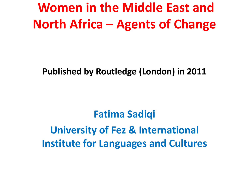#### **Women in the Middle East and North Africa – Agents of Change**

#### **Published by Routledge (London) in 2011**

**Fatima Sadiqi University of Fez & International Institute for Languages and Cultures**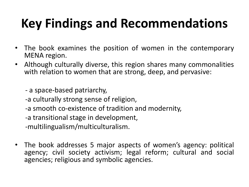# **Key Findings and Recommendations**

- The book examines the position of women in the contemporary MENA region.
- Although culturally diverse, this region shares many commonalities with relation to women that are strong, deep, and pervasive:

- a space-based patriarchy,

-a culturally strong sense of religion,

-a smooth co-existence of tradition and modernity,

-a transitional stage in development,

-multilingualism/multiculturalism.

• The book addresses 5 major aspects of women's agency: political agency; civil society activism; legal reform; cultural and social agencies; religious and symbolic agencies.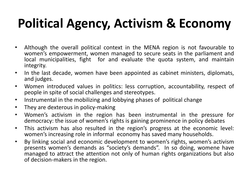### **Political Agency, Activism & Economy**

- Although the overall political context in the MENA region is not favourable to women's empowerment, women managed to secure seats in the parliament and local municipalities, fight for and evaluate the quota system, and maintain integrity.
- In the last decade, women have been appointed as cabinet ministers, diplomats, and judges.
- Women introduced values in politics: less corruption, accountability, respect of people in spite of social challenges and stereotypes.
- Instrumental in the mobilizing and lobbying phases of political change
- They are dexterous in policy-making
- Women's activism in the region has been instrumental in the pressure for democracy: the issue of women's rights is gaining prominence in policy debates
- This activism has also resulted in the region's progress at the economic level: women's increasing role in informal economy has saved many households.
- By linking social and economic development to women's rights, women's activism presents women's demands as "society's demands". In so doing, womene have managed to attract the attention not only of human rights organizations but also of decision-makers in the region.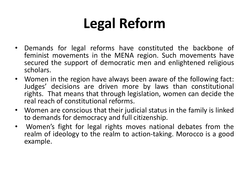# **Legal Reform**

- Demands for legal reforms have constituted the backbone of feminist movements in the MENA region. Such movements have secured the support of democratic men and enlightened religious scholars.
- Women in the region have always been aware of the following fact: Judges' decisions are driven more by laws than constitutional rights. That means that through legislation, women can decide the real reach of constitutional reforms.
- Women are conscious that their judicial status in the family is linked to demands for democracy and full citizenship.
- Women's fight for legal rights moves national debates from the realm of ideology to the realm to action-taking. Morocco is a good example.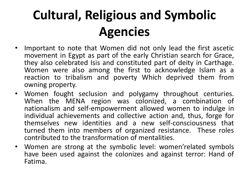## **Cultural, Religious and Symbolic Agencies**

- Important to note that Women did not only lead the first ascetic movement in Egypt as part of the early Christian search for Grace, they also celebrated Isis and constituted part of deity in Carthage. Women were also among the first to acknowledge Islam as a reaction to tribalism and poverty Which deprived them from owning property.
- Women fought seclusion and polygamy throughout centuries. When the MENA region was colonized, a combination of nationalism and self-empowerment allowed women to indulge in individual achievements and collective action and, thus, forge for themselves new identities and a new self-consciousness that turned them into members of organized resistance. These roles contributed to the transformation of mentalities.
- Women are strong at the symbolic level: women'related symbols have been used against the colonizes and against terror: Hand of Fatima.